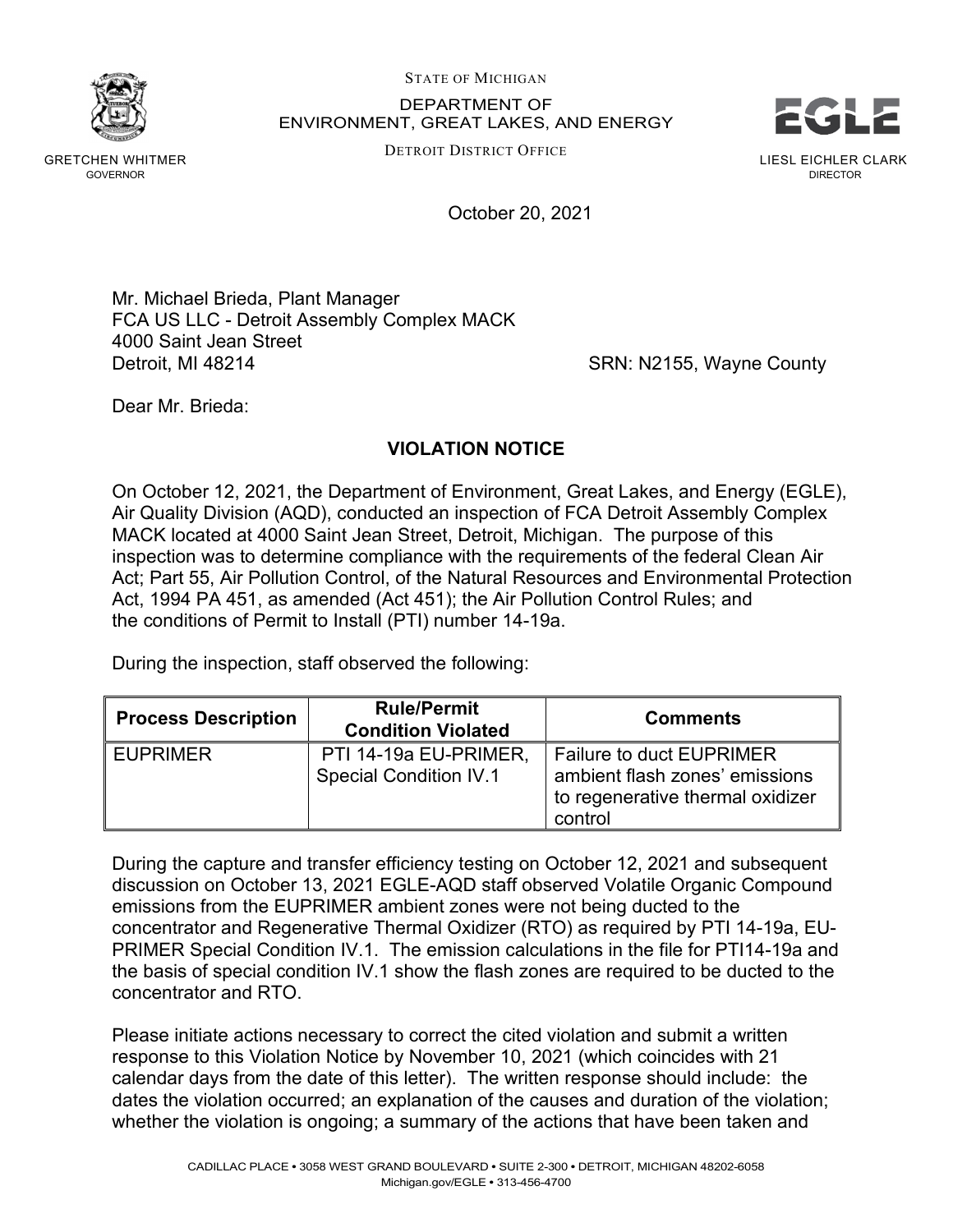STATE OF MICHIGAN

DEPARTMENT OF ENVIRONMENT, GREAT LAKES, AND ENERGY STATE OF MICHIGAN<br>DEPARTMENT OF<br>ENVIRONMENT, GREAT LAKES, AND ENERGY<br>DETROIT DISTRICT OFFICE

DETROIT DISTRICT OFFICE



GRETCHEN WHITMER GOVERNOR

October 20, 2021

Mr. Michael Brieda, Plant Manager FCA US LLC - Detroit Assembly Complex MACK 4000 Saint Jean Street Detroit, MI 48214 **SRN: N2155, Wayne County** 

Dear Mr. Brieda:

## **VIOLATION NOTICE**

On October 12, 2021, the Department of Environment, Great Lakes, and Energy (EGLE), Air Quality Division (AQD), conducted an inspection of FCA Detroit Assembly Complex MACK located at 4000 Saint Jean Street, Detroit, Michigan. The purpose of this inspection was to determine compliance with the requirements of the federal Clean Air Act; Part 55, Air Pollution Control, of the Natural Resources and Environmental Protection Act, 1994 PA 451, as amended (Act 451); the Air Pollution Control Rules; and the conditions of Permit to Install (PTI) number 14-19a.

During the inspection, staff observed the following:

| <b>Process Description</b> | <b>Rule/Permit</b><br><b>Condition Violated</b>        | <b>Comments</b>                                                                                                  |
|----------------------------|--------------------------------------------------------|------------------------------------------------------------------------------------------------------------------|
| <b>EUPRIMER</b>            | PTI 14-19a EU-PRIMER,<br><b>Special Condition IV.1</b> | <b>Failure to duct EUPRIMER</b><br>ambient flash zones' emissions<br>to regenerative thermal oxidizer<br>control |

During the capture and transfer efficiency testing on October 12, 2021 and subsequent discussion on October 13, 2021 EGLE-AQD staff observed Volatile Organic Compound emissions from the EUPRIMER ambient zones were not being ducted to the concentrator and Regenerative Thermal Oxidizer (RTO) as required by PTI 14-19a, EU-PRIMER Special Condition IV.1. The emission calculations in the file for PTI14-19a and the basis of special condition IV.1 show the flash zones are required to be ducted to the concentrator and RTO.

Please initiate actions necessary to correct the cited violation and submit a written response to this Violation Notice by November 10, 2021 (which coincides with 21 calendar days from the date of this letter). The written response should include: the dates the violation occurred; an explanation of the causes and duration of the violation; whether the violation is ongoing; a summary of the actions that have been taken and